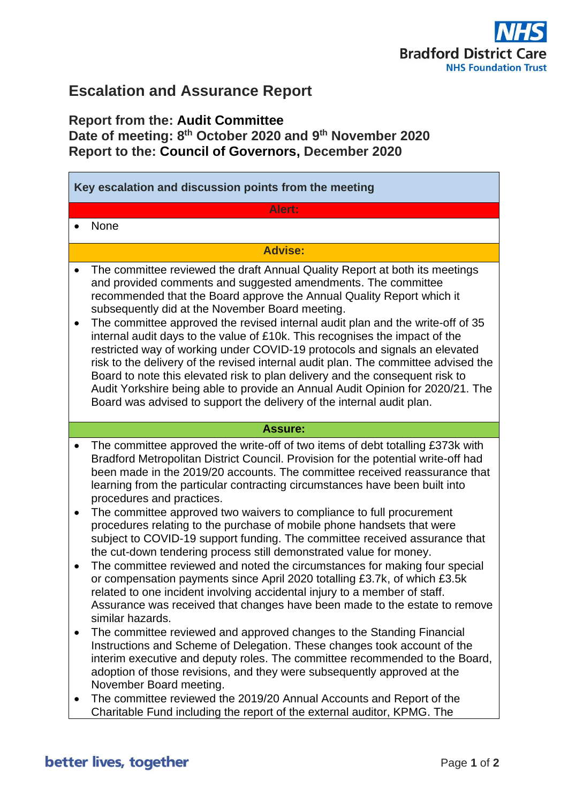

# **Escalation and Assurance Report**

## **Report from the: Audit Committee Date of meeting: 8 th October 2020 and 9 th November 2020 Report to the: Council of Governors, December 2020**

| Key escalation and discussion points from the meeting                                                                                     |                                                                                                                                                                                                                                                                                                                                                                                                                                                                                                                                                                                                                                                                                                                                                                                                                                                                                                                                                                                                                                                                                                                                                                                                                                                                                                                                                                                                                                |
|-------------------------------------------------------------------------------------------------------------------------------------------|--------------------------------------------------------------------------------------------------------------------------------------------------------------------------------------------------------------------------------------------------------------------------------------------------------------------------------------------------------------------------------------------------------------------------------------------------------------------------------------------------------------------------------------------------------------------------------------------------------------------------------------------------------------------------------------------------------------------------------------------------------------------------------------------------------------------------------------------------------------------------------------------------------------------------------------------------------------------------------------------------------------------------------------------------------------------------------------------------------------------------------------------------------------------------------------------------------------------------------------------------------------------------------------------------------------------------------------------------------------------------------------------------------------------------------|
| Alert:                                                                                                                                    |                                                                                                                                                                                                                                                                                                                                                                                                                                                                                                                                                                                                                                                                                                                                                                                                                                                                                                                                                                                                                                                                                                                                                                                                                                                                                                                                                                                                                                |
| None<br>$\bullet$                                                                                                                         |                                                                                                                                                                                                                                                                                                                                                                                                                                                                                                                                                                                                                                                                                                                                                                                                                                                                                                                                                                                                                                                                                                                                                                                                                                                                                                                                                                                                                                |
| <b>Advise:</b>                                                                                                                            |                                                                                                                                                                                                                                                                                                                                                                                                                                                                                                                                                                                                                                                                                                                                                                                                                                                                                                                                                                                                                                                                                                                                                                                                                                                                                                                                                                                                                                |
| $\bullet$<br>$\bullet$                                                                                                                    | The committee reviewed the draft Annual Quality Report at both its meetings<br>and provided comments and suggested amendments. The committee<br>recommended that the Board approve the Annual Quality Report which it<br>subsequently did at the November Board meeting.<br>The committee approved the revised internal audit plan and the write-off of 35<br>internal audit days to the value of £10k. This recognises the impact of the<br>restricted way of working under COVID-19 protocols and signals an elevated<br>risk to the delivery of the revised internal audit plan. The committee advised the<br>Board to note this elevated risk to plan delivery and the consequent risk to<br>Audit Yorkshire being able to provide an Annual Audit Opinion for 2020/21. The<br>Board was advised to support the delivery of the internal audit plan.                                                                                                                                                                                                                                                                                                                                                                                                                                                                                                                                                                       |
| <b>Assure:</b>                                                                                                                            |                                                                                                                                                                                                                                                                                                                                                                                                                                                                                                                                                                                                                                                                                                                                                                                                                                                                                                                                                                                                                                                                                                                                                                                                                                                                                                                                                                                                                                |
| $\bullet$<br>procedures and practices.<br>$\bullet$<br>$\bullet$<br>similar hazards.<br>$\bullet$<br>November Board meeting.<br>$\bullet$ | The committee approved the write-off of two items of debt totalling £373k with<br>Bradford Metropolitan District Council. Provision for the potential write-off had<br>been made in the 2019/20 accounts. The committee received reassurance that<br>learning from the particular contracting circumstances have been built into<br>The committee approved two waivers to compliance to full procurement<br>procedures relating to the purchase of mobile phone handsets that were<br>subject to COVID-19 support funding. The committee received assurance that<br>the cut-down tendering process still demonstrated value for money.<br>The committee reviewed and noted the circumstances for making four special<br>or compensation payments since April 2020 totalling £3.7k, of which £3.5k<br>related to one incident involving accidental injury to a member of staff.<br>Assurance was received that changes have been made to the estate to remove<br>The committee reviewed and approved changes to the Standing Financial<br>Instructions and Scheme of Delegation. These changes took account of the<br>interim executive and deputy roles. The committee recommended to the Board,<br>adoption of those revisions, and they were subsequently approved at the<br>The committee reviewed the 2019/20 Annual Accounts and Report of the<br>Charitable Fund including the report of the external auditor, KPMG. The |